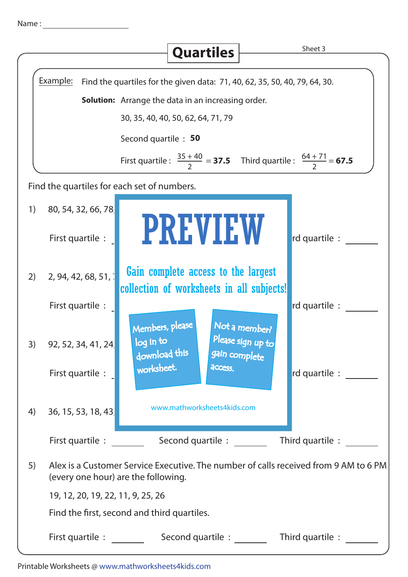| Name |  |  |  |
|------|--|--|--|
|      |  |  |  |
|      |  |  |  |

|    |                                                                                                                             | <b>Quartiles</b>                                                                    | Sheet 3                            |  |  |  |
|----|-----------------------------------------------------------------------------------------------------------------------------|-------------------------------------------------------------------------------------|------------------------------------|--|--|--|
|    |                                                                                                                             |                                                                                     |                                    |  |  |  |
|    | Example:<br>Find the quartiles for the given data: 71, 40, 62, 35, 50, 40, 79, 64, 30.                                      |                                                                                     |                                    |  |  |  |
|    | <b>Solution:</b> Arrange the data in an increasing order.                                                                   |                                                                                     |                                    |  |  |  |
|    | 30, 35, 40, 40, 50, 62, 64, 71, 79                                                                                          |                                                                                     |                                    |  |  |  |
|    |                                                                                                                             | Second quartile : 50                                                                |                                    |  |  |  |
|    |                                                                                                                             | First quartile : $\frac{35+40}{2} = 37.5$ Third quartile : $\frac{64+71}{2} = 67.5$ |                                    |  |  |  |
|    |                                                                                                                             | Find the quartiles for each set of numbers.                                         |                                    |  |  |  |
| 1) | 80, 54, 32, 66, 78                                                                                                          |                                                                                     |                                    |  |  |  |
|    |                                                                                                                             | <b>PREVIEW</b>                                                                      |                                    |  |  |  |
|    | First quartile :                                                                                                            |                                                                                     | rd quartile :                      |  |  |  |
| 2) | 2, 94, 42, 68, 51,                                                                                                          | Gain complete access to the largest                                                 |                                    |  |  |  |
|    |                                                                                                                             | collection of worksheets in all subjects!                                           |                                    |  |  |  |
|    | First quartile :                                                                                                            |                                                                                     | rd quartile :                      |  |  |  |
|    |                                                                                                                             | Members, please<br>log in to                                                        | Not a member?<br>Please sign up to |  |  |  |
| 3) | 92, 52, 34, 41, 24                                                                                                          | download this<br>gain complete                                                      |                                    |  |  |  |
|    | First quartile :                                                                                                            | worksheet.<br>access.                                                               | rd quartile :                      |  |  |  |
|    |                                                                                                                             |                                                                                     |                                    |  |  |  |
| 4) | 36, 15, 53, 18, 43                                                                                                          | www.mathworksheets4kids.com                                                         |                                    |  |  |  |
|    |                                                                                                                             |                                                                                     |                                    |  |  |  |
|    | Second quartile : _______<br>First quartile :<br>Third quartile :                                                           |                                                                                     |                                    |  |  |  |
| 5) | Alex is a Customer Service Executive. The number of calls received from 9 AM to 6 PM<br>(every one hour) are the following. |                                                                                     |                                    |  |  |  |
|    | 19, 12, 20, 19, 22, 11, 9, 25, 26                                                                                           |                                                                                     |                                    |  |  |  |
|    | Find the first, second and third quartiles.                                                                                 |                                                                                     |                                    |  |  |  |
|    | First quartile :<br>Second quartile :<br>Third quartile :                                                                   |                                                                                     |                                    |  |  |  |